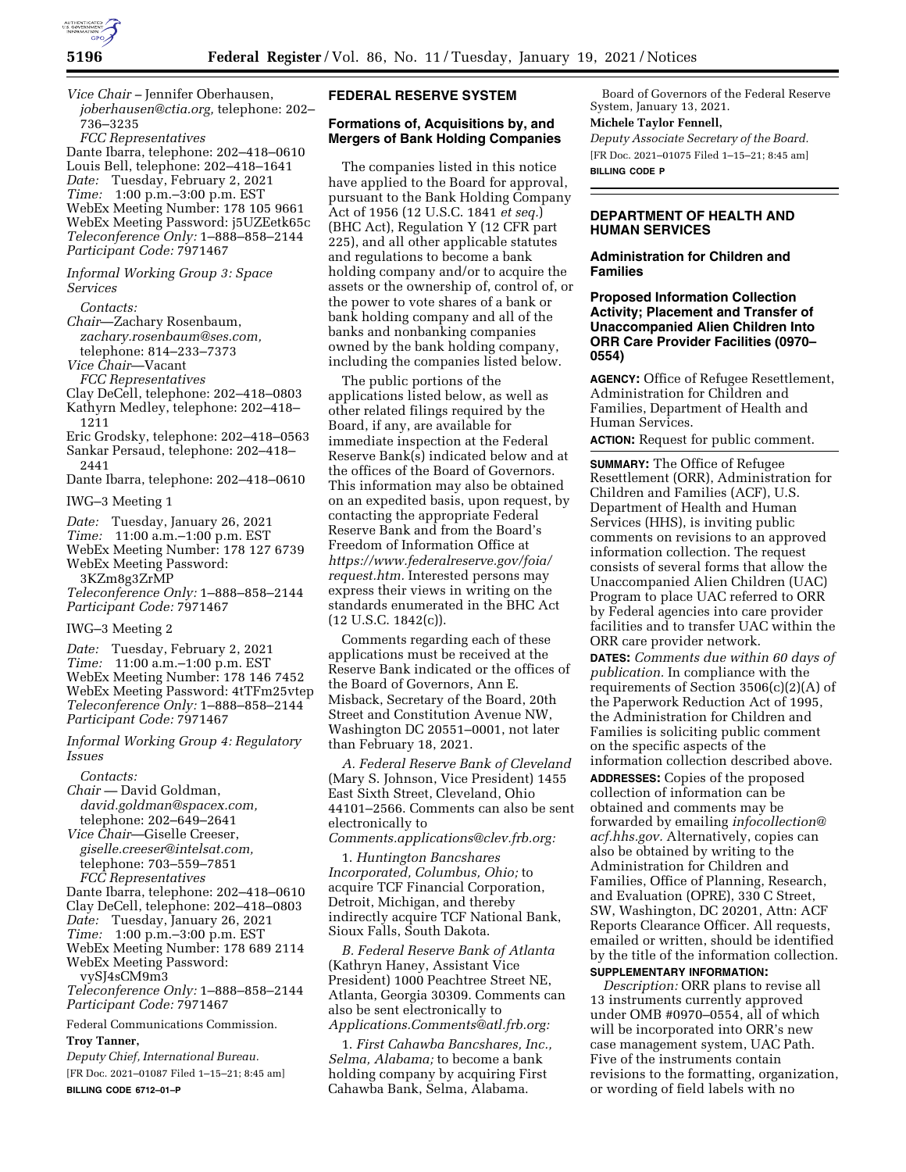

*Vice Chair –* Jennifer Oberhausen, *[joberhausen@ctia.org,](mailto:joberhausen@ctia.org)* telephone: 202– 736–3235

*FCC Representatives* 

Dante Ibarra, telephone: 202–418–0610 Louis Bell, telephone: 202–418–1641 *Date:* Tuesday, February 2, 2021 *Time:* 1:00 p.m.–3:00 p.m. EST WebEx Meeting Number: 178 105 9661 WebEx Meeting Password: j5UZEetk65c *Teleconference Only:* 1–888–858–2144 *Participant Code:* 7971467

#### *Informal Working Group 3: Space Services*

*Contacts:* 

- *Chair*—Zachary Rosenbaum, *[zachary.rosenbaum@ses.com,](mailto:zachary.rosenbaum@ses.com)*
- telephone: 814–233–7373
- *Vice Chair*—Vacant
- *FCC Representatives*
- Clay DeCell, telephone: 202–418–0803 Kathyrn Medley, telephone: 202–418–
- 1211

Eric Grodsky, telephone: 202–418–0563 Sankar Persaud, telephone: 202–418– 2441

Dante Ibarra, telephone: 202–418–0610

IWG–3 Meeting 1

*Date:* Tuesday, January 26, 2021 *Time:* 11:00 a.m.–1:00 p.m. EST

- WebEx Meeting Number: 178 127 6739
- WebEx Meeting Password:

3KZm8g3ZrMP

*Teleconference Only:* 1–888–858–2144 *Participant Code:* 7971467

#### IWG–3 Meeting 2

*Date:* Tuesday, February 2, 2021 *Time:* 11:00 a.m.–1:00 p.m. EST WebEx Meeting Number: 178 146 7452 WebEx Meeting Password: 4tTFm25vtep *Teleconference Only:* 1–888–858–2144 *Participant Code:* 7971467

#### *Informal Working Group 4: Regulatory Issues*

*Contacts:* 

- *Chair* David Goldman, *[david.goldman@spacex.com,](mailto:david.goldman@spacex.com)*  telephone: 202–649–2641
- *Vice Chair*—Giselle Creeser, *[giselle.creeser@intelsat.com,](mailto:giselle.creeser@intelsat.com)*  telephone: 703–559–7851 *FCC Representatives*
- Dante Ibarra, telephone: 202–418–0610
- Clay DeCell, telephone: 202–418–0803
- *Date:* Tuesday, January 26, 2021
- *Time:* 1:00 p.m.–3:00 p.m. EST
- WebEx Meeting Number: 178 689 2114 WebEx Meeting Password:

vySJ4sCM9m3

*Teleconference Only:* 1–888–858–2144 *Participant Code:* 7971467

Federal Communications Commission. **Troy Tanner,** 

*Deputy Chief, International Bureau.*  [FR Doc. 2021–01087 Filed 1–15–21; 8:45 am] **BILLING CODE 6712–01–P** 

### **FEDERAL RESERVE SYSTEM**

#### **Formations of, Acquisitions by, and Mergers of Bank Holding Companies**

The companies listed in this notice have applied to the Board for approval, pursuant to the Bank Holding Company Act of 1956 (12 U.S.C. 1841 *et seq.*) (BHC Act), Regulation Y (12 CFR part 225), and all other applicable statutes and regulations to become a bank holding company and/or to acquire the assets or the ownership of, control of, or the power to vote shares of a bank or bank holding company and all of the banks and nonbanking companies owned by the bank holding company, including the companies listed below.

The public portions of the applications listed below, as well as other related filings required by the Board, if any, are available for immediate inspection at the Federal Reserve Bank(s) indicated below and at the offices of the Board of Governors. This information may also be obtained on an expedited basis, upon request, by contacting the appropriate Federal Reserve Bank and from the Board's Freedom of Information Office at *[https://www.federalreserve.gov/foia/](https://www.federalreserve.gov/foia/request.htm) [request.htm.](https://www.federalreserve.gov/foia/request.htm)* Interested persons may express their views in writing on the standards enumerated in the BHC Act  $(12 \text{ U.S.C. } 1842(c))$ .

Comments regarding each of these applications must be received at the Reserve Bank indicated or the offices of the Board of Governors, Ann E. Misback, Secretary of the Board, 20th Street and Constitution Avenue NW, Washington DC 20551–0001, not later than February 18, 2021.

*A. Federal Reserve Bank of Cleveland*  (Mary S. Johnson, Vice President) 1455 East Sixth Street, Cleveland, Ohio 44101–2566. Comments can also be sent electronically to

*[Comments.applications@clev.frb.org:](mailto:Comments.applications@clev.frb.org)* 

1. *Huntington Bancshares Incorporated, Columbus, Ohio;* to acquire TCF Financial Corporation, Detroit, Michigan, and thereby indirectly acquire TCF National Bank, Sioux Falls, South Dakota.

*B. Federal Reserve Bank of Atlanta*  (Kathryn Haney, Assistant Vice President) 1000 Peachtree Street NE, Atlanta, Georgia 30309. Comments can also be sent electronically to *[Applications.Comments@atl.frb.org:](mailto:Applications.Comments@atl.frb.org)* 

1. *First Cahawba Bancshares, Inc., Selma, Alabama;* to become a bank holding company by acquiring First Cahawba Bank, Selma, Alabama.

Board of Governors of the Federal Reserve System, January 13, 2021.

# **Michele Taylor Fennell,**

*Deputy Associate Secretary of the Board.*  [FR Doc. 2021–01075 Filed 1–15–21; 8:45 am] **BILLING CODE P** 

### **DEPARTMENT OF HEALTH AND HUMAN SERVICES**

#### **Administration for Children and Families**

#### **Proposed Information Collection Activity; Placement and Transfer of Unaccompanied Alien Children Into ORR Care Provider Facilities (0970– 0554)**

**AGENCY:** Office of Refugee Resettlement, Administration for Children and Families, Department of Health and Human Services.

**ACTION:** Request for public comment.

**SUMMARY:** The Office of Refugee Resettlement (ORR), Administration for Children and Families (ACF), U.S. Department of Health and Human Services (HHS), is inviting public comments on revisions to an approved information collection. The request consists of several forms that allow the Unaccompanied Alien Children (UAC) Program to place UAC referred to ORR by Federal agencies into care provider facilities and to transfer UAC within the ORR care provider network. **DATES:** *Comments due within 60 days of publication.* In compliance with the requirements of Section 3506(c)(2)(A) of the Paperwork Reduction Act of 1995, the Administration for Children and Families is soliciting public comment on the specific aspects of the information collection described above. **ADDRESSES:** Copies of the proposed collection of information can be obtained and comments may be forwarded by emailing *[infocollection@](mailto:infocollection@acf.hhs.gov) [acf.hhs.gov.](mailto:infocollection@acf.hhs.gov)* Alternatively, copies can also be obtained by writing to the Administration for Children and Families, Office of Planning, Research, and Evaluation (OPRE), 330 C Street, SW, Washington, DC 20201, Attn: ACF Reports Clearance Officer. All requests, emailed or written, should be identified by the title of the information collection.

#### **SUPPLEMENTARY INFORMATION:**

*Description:* ORR plans to revise all 13 instruments currently approved under OMB #0970–0554, all of which will be incorporated into ORR's new case management system, UAC Path. Five of the instruments contain revisions to the formatting, organization, or wording of field labels with no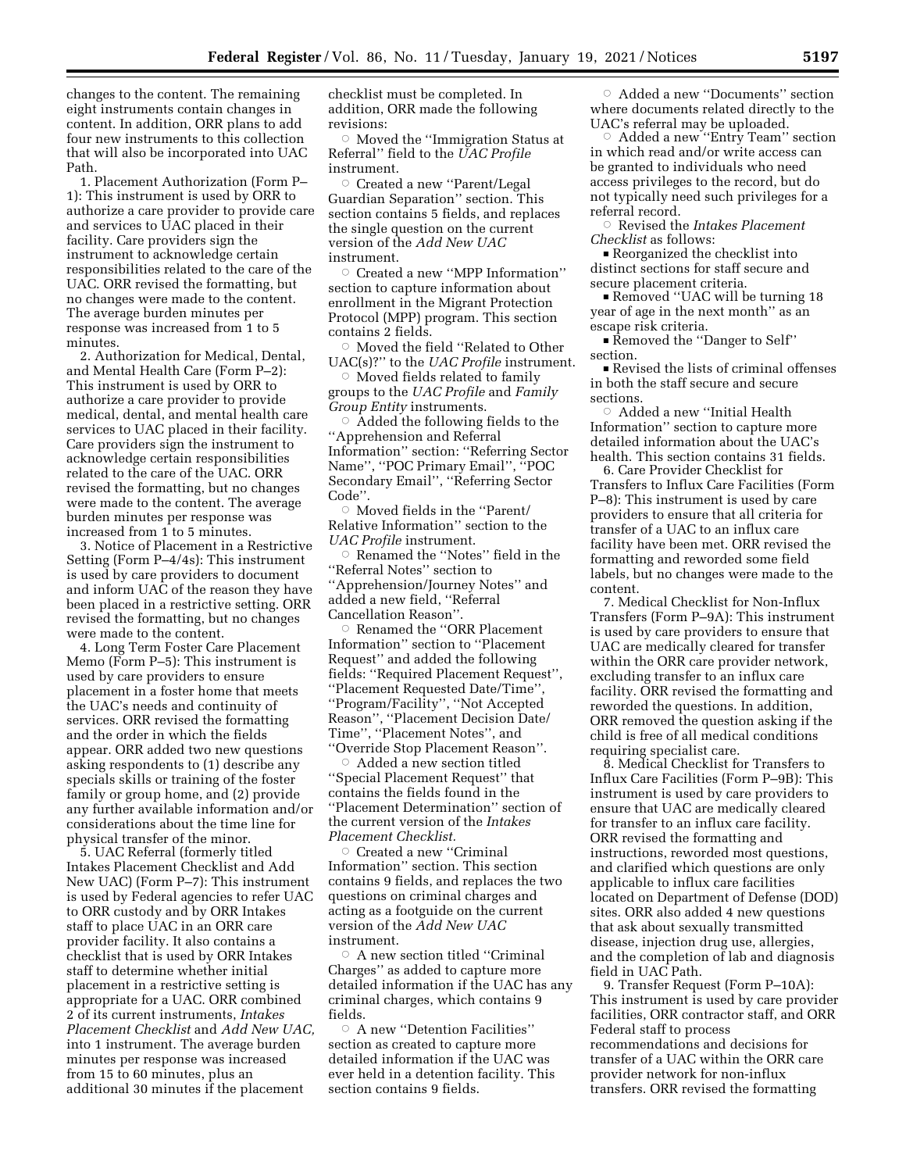changes to the content. The remaining eight instruments contain changes in content. In addition, ORR plans to add four new instruments to this collection that will also be incorporated into UAC Path.

1. Placement Authorization (Form P– 1): This instrument is used by ORR to authorize a care provider to provide care and services to UAC placed in their facility. Care providers sign the instrument to acknowledge certain responsibilities related to the care of the UAC. ORR revised the formatting, but no changes were made to the content. The average burden minutes per response was increased from 1 to 5 minutes.

2. Authorization for Medical, Dental, and Mental Health Care (Form P–2): This instrument is used by ORR to authorize a care provider to provide medical, dental, and mental health care services to UAC placed in their facility. Care providers sign the instrument to acknowledge certain responsibilities related to the care of the UAC. ORR revised the formatting, but no changes were made to the content. The average burden minutes per response was increased from 1 to 5 minutes.

3. Notice of Placement in a Restrictive Setting (Form P–4/4s): This instrument is used by care providers to document and inform UAC of the reason they have been placed in a restrictive setting. ORR revised the formatting, but no changes were made to the content.

4. Long Term Foster Care Placement Memo (Form P–5): This instrument is used by care providers to ensure placement in a foster home that meets the UAC's needs and continuity of services. ORR revised the formatting and the order in which the fields appear. ORR added two new questions asking respondents to (1) describe any specials skills or training of the foster family or group home, and (2) provide any further available information and/or considerations about the time line for physical transfer of the minor.

5. UAC Referral (formerly titled Intakes Placement Checklist and Add New UAC) (Form P–7): This instrument is used by Federal agencies to refer UAC to ORR custody and by ORR Intakes staff to place UAC in an ORR care provider facility. It also contains a checklist that is used by ORR Intakes staff to determine whether initial placement in a restrictive setting is appropriate for a UAC. ORR combined 2 of its current instruments, *Intakes Placement Checklist* and *Add New UAC,*  into 1 instrument. The average burden minutes per response was increased from 15 to 60 minutes, plus an additional 30 minutes if the placement

checklist must be completed. In addition, ORR made the following revisions:

 $\circ$  Moved the "Immigration Status at Referral'' field to the *UAC Profile*  instrument.

Æ Created a new ''Parent/Legal Guardian Separation'' section. This section contains 5 fields, and replaces the single question on the current version of the *Add New UAC*  instrument.

 $\circ$  Created a new "MPP Information" section to capture information about enrollment in the Migrant Protection Protocol (MPP) program. This section contains 2 fields.

 $\circ$  Moved the field "Related to Other UAC(s)?'' to the *UAC Profile* instrument.

 $\circ$  Moved fields related to family groups to the *UAC Profile* and *Family Group Entity* instruments.

 $\circ$  Added the following fields to the ''Apprehension and Referral Information'' section: ''Referring Sector Name'', ''POC Primary Email'', ''POC Secondary Email'', ''Referring Sector Code''.

 $\circ$  Moved fields in the "Parent/ Relative Information'' section to the *UAC Profile* instrument.

 $\circ$  Renamed the "Notes" field in the ''Referral Notes'' section to ''Apprehension/Journey Notes'' and added a new field, ''Referral Cancellation Reason''.

Æ Renamed the ''ORR Placement Information'' section to ''Placement Request'' and added the following fields: ''Required Placement Request'', ''Placement Requested Date/Time'', ''Program/Facility'', ''Not Accepted Reason'', ''Placement Decision Date/ Time'', ''Placement Notes'', and ''Override Stop Placement Reason''.

 $\circ$  Added a new section titled ''Special Placement Request'' that contains the fields found in the ''Placement Determination'' section of the current version of the *Intakes Placement Checklist.* 

Æ Created a new ''Criminal Information'' section. This section contains 9 fields, and replaces the two questions on criminal charges and acting as a footguide on the current version of the *Add New UAC*  instrument.

 $\circ\,$  A new section titled ''Criminal Charges'' as added to capture more detailed information if the UAC has any criminal charges, which contains 9 fields.

 $\circ$  A new "Detention Facilities" section as created to capture more detailed information if the UAC was ever held in a detention facility. This section contains 9 fields.

 $\circ$  Added a new "Documents" section where documents related directly to the UAC's referral may be uploaded.

Added a new "Entry Team" section in which read and/or write access can be granted to individuals who need access privileges to the record, but do not typically need such privileges for a referral record.

Æ Revised the *Intakes Placement Checklist* as follows:

■ Reorganized the checklist into distinct sections for staff secure and secure placement criteria.

Removed "UAC will be turning 18 year of age in the next month'' as an escape risk criteria.

■ Removed the "Danger to Self" section.

Revised the lists of criminal offenses in both the staff secure and secure sections.

 $\circ$  Added a new "Initial Health Information'' section to capture more detailed information about the UAC's health. This section contains 31 fields.

6. Care Provider Checklist for Transfers to Influx Care Facilities (Form P–8): This instrument is used by care providers to ensure that all criteria for transfer of a UAC to an influx care facility have been met. ORR revised the formatting and reworded some field labels, but no changes were made to the content.

7. Medical Checklist for Non-Influx Transfers (Form P–9A): This instrument is used by care providers to ensure that UAC are medically cleared for transfer within the ORR care provider network, excluding transfer to an influx care facility. ORR revised the formatting and reworded the questions. In addition, ORR removed the question asking if the child is free of all medical conditions requiring specialist care.

8. Medical Checklist for Transfers to Influx Care Facilities (Form P–9B): This instrument is used by care providers to ensure that UAC are medically cleared for transfer to an influx care facility. ORR revised the formatting and instructions, reworded most questions, and clarified which questions are only applicable to influx care facilities located on Department of Defense (DOD) sites. ORR also added 4 new questions that ask about sexually transmitted disease, injection drug use, allergies, and the completion of lab and diagnosis field in UAC Path.

9. Transfer Request (Form P–10A): This instrument is used by care provider facilities, ORR contractor staff, and ORR Federal staff to process recommendations and decisions for transfer of a UAC within the ORR care provider network for non-influx transfers. ORR revised the formatting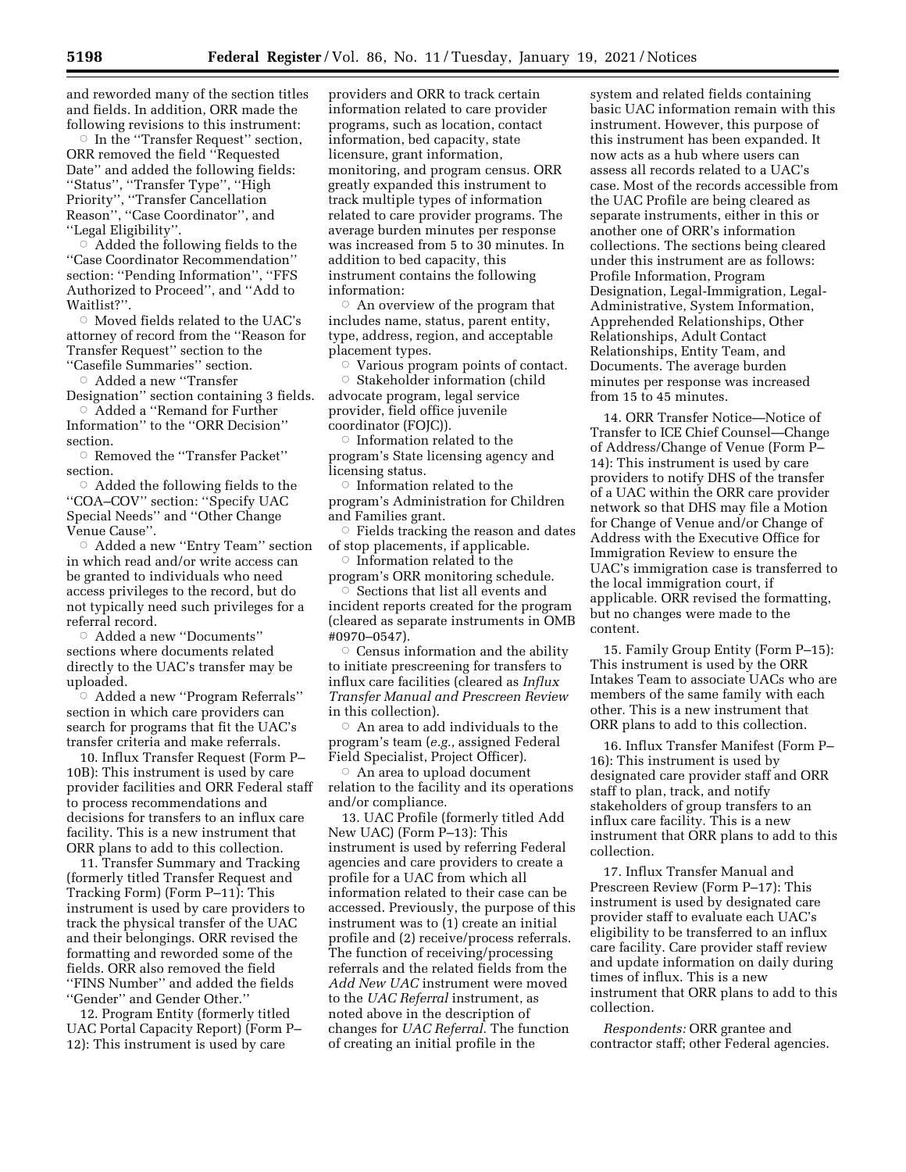and reworded many of the section titles and fields. In addition, ORR made the following revisions to this instrument:

 $\circ$  In the "Transfer Request" section, ORR removed the field ''Requested Date'' and added the following fields: ''Status'', ''Transfer Type'', ''High Priority'', ''Transfer Cancellation Reason'', ''Case Coordinator'', and ''Legal Eligibility''.

 $\circ$  Added the following fields to the ''Case Coordinator Recommendation'' section: "Pending Information", "FFS Authorized to Proceed'', and ''Add to Waitlist?".

 $\circ$  Moved fields related to the UAC's attorney of record from the ''Reason for Transfer Request'' section to the ''Casefile Summaries'' section.

 $\circ$  Added a new "Transfer

Designation'' section containing 3 fields. Æ Added a ''Remand for Further

Information'' to the ''ORR Decision'' section.

Æ Removed the ''Transfer Packet'' section.

 $\circ$  Added the following fields to the ''COA–COV'' section: ''Specify UAC Special Needs'' and ''Other Change Venue Cause''.

Æ Added a new ''Entry Team'' section in which read and/or write access can be granted to individuals who need access privileges to the record, but do not typically need such privileges for a referral record.

 $\circ$  Added a new "Documents" sections where documents related directly to the UAC's transfer may be uploaded.

Æ Added a new ''Program Referrals'' section in which care providers can search for programs that fit the UAC's transfer criteria and make referrals.

10. Influx Transfer Request (Form P– 10B): This instrument is used by care provider facilities and ORR Federal staff to process recommendations and decisions for transfers to an influx care facility. This is a new instrument that ORR plans to add to this collection.

11. Transfer Summary and Tracking (formerly titled Transfer Request and Tracking Form) (Form P–11): This instrument is used by care providers to track the physical transfer of the UAC and their belongings. ORR revised the formatting and reworded some of the fields. ORR also removed the field ''FINS Number'' and added the fields ''Gender'' and Gender Other.''

12. Program Entity (formerly titled UAC Portal Capacity Report) (Form P– 12): This instrument is used by care

providers and ORR to track certain information related to care provider programs, such as location, contact information, bed capacity, state licensure, grant information, monitoring, and program census. ORR greatly expanded this instrument to track multiple types of information related to care provider programs. The average burden minutes per response was increased from 5 to 30 minutes. In addition to bed capacity, this instrument contains the following information:

Æ An overview of the program that includes name, status, parent entity, type, address, region, and acceptable placement types.

 $\circ$  Various program points of contact.

 $\circ$  Stakeholder information (child advocate program, legal service provider, field office juvenile coordinator (FOJC)).

 $\circ$  Information related to the program's State licensing agency and licensing status.

 $\circ$  Information related to the program's Administration for Children and Families grant.

 $\circ$  Fields tracking the reason and dates of stop placements, if applicable.

 $\circ$  Information related to the program's ORR monitoring schedule.

 $\circ$  Sections that list all events and incident reports created for the program (cleared as separate instruments in OMB #0970–0547).

 $\circ$  Census information and the ability to initiate prescreening for transfers to influx care facilities (cleared as *Influx Transfer Manual and Prescreen Review*  in this collection).

Æ An area to add individuals to the program's team (*e.g.,* assigned Federal Field Specialist, Project Officer).

 $\circ$  An area to upload document relation to the facility and its operations and/or compliance.

13. UAC Profile (formerly titled Add New UAC) (Form P–13): This instrument is used by referring Federal agencies and care providers to create a profile for a UAC from which all information related to their case can be accessed. Previously, the purpose of this instrument was to (1) create an initial profile and (2) receive/process referrals. The function of receiving/processing referrals and the related fields from the *Add New UAC* instrument were moved to the *UAC Referral* instrument, as noted above in the description of changes for *UAC Referral.* The function of creating an initial profile in the

system and related fields containing basic UAC information remain with this instrument. However, this purpose of this instrument has been expanded. It now acts as a hub where users can assess all records related to a UAC's case. Most of the records accessible from the UAC Profile are being cleared as separate instruments, either in this or another one of ORR's information collections. The sections being cleared under this instrument are as follows: Profile Information, Program Designation, Legal-Immigration, Legal-Administrative, System Information, Apprehended Relationships, Other Relationships, Adult Contact Relationships, Entity Team, and Documents. The average burden minutes per response was increased from 15 to 45 minutes.

14. ORR Transfer Notice—Notice of Transfer to ICE Chief Counsel—Change of Address/Change of Venue (Form P– 14): This instrument is used by care providers to notify DHS of the transfer of a UAC within the ORR care provider network so that DHS may file a Motion for Change of Venue and/or Change of Address with the Executive Office for Immigration Review to ensure the UAC's immigration case is transferred to the local immigration court, if applicable. ORR revised the formatting, but no changes were made to the content.

15. Family Group Entity (Form P–15): This instrument is used by the ORR Intakes Team to associate UACs who are members of the same family with each other. This is a new instrument that ORR plans to add to this collection.

16. Influx Transfer Manifest (Form P– 16): This instrument is used by designated care provider staff and ORR staff to plan, track, and notify stakeholders of group transfers to an influx care facility. This is a new instrument that ORR plans to add to this collection.

17. Influx Transfer Manual and Prescreen Review (Form P–17): This instrument is used by designated care provider staff to evaluate each UAC's eligibility to be transferred to an influx care facility. Care provider staff review and update information on daily during times of influx. This is a new instrument that ORR plans to add to this collection.

*Respondents:* ORR grantee and contractor staff; other Federal agencies.